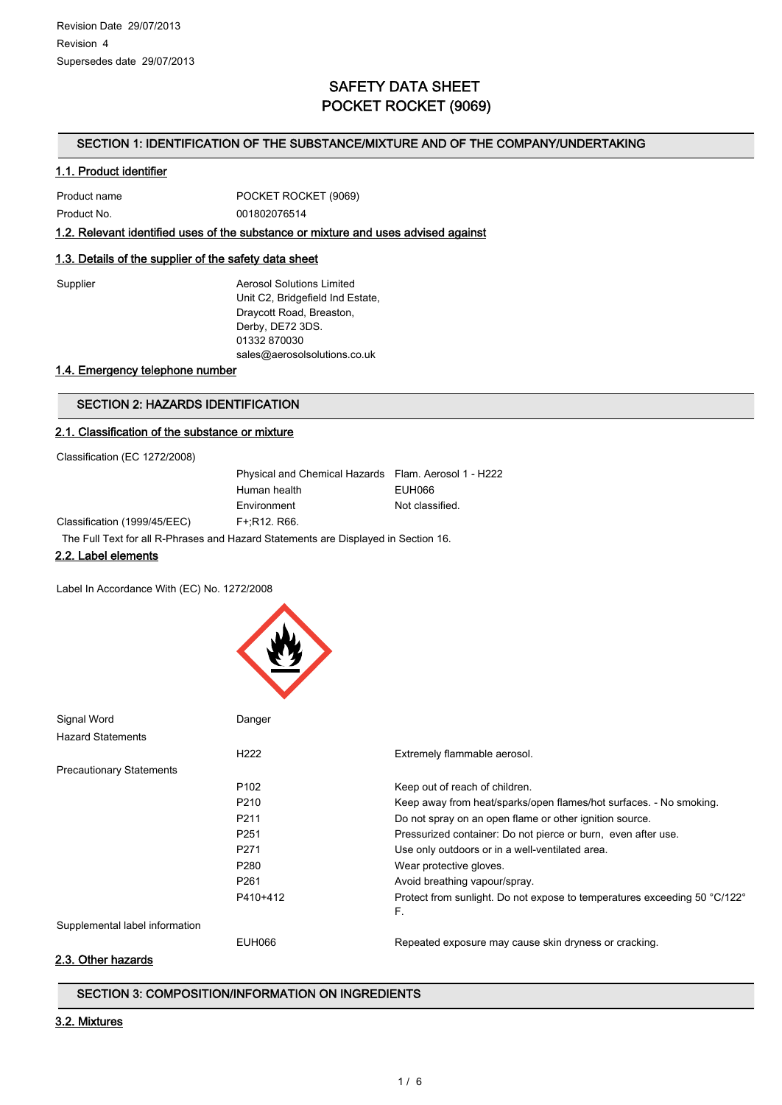# SAFETY DATA SHEET POCKET ROCKET (9069)

#### SECTION 1: IDENTIFICATION OF THE SUBSTANCE/MIXTURE AND OF THE COMPANY/UNDERTAKING

#### 1.1. Product identifier

| Product name | POCKET ROCKET (9069) |
|--------------|----------------------|
| Product No.  | 001802076514         |

#### 1.2. Relevant identified uses of the substance or mixture and uses advised against

## 1.3. Details of the supplier of the safety data sheet

Supplier **Aerosol Solutions Limited** Unit C2, Bridgefield Ind Estate, Draycott Road, Breaston, Derby, DE72 3DS. 01332 870030 sales@aerosolsolutions.co.uk

## 1.4. Emergency telephone number

## SECTION 2: HAZARDS IDENTIFICATION

#### 2.1. Classification of the substance or mixture

Classification (EC 1272/2008)

| Physical and Chemical Hazards Flam. Aerosol 1 - H222 |                 |
|------------------------------------------------------|-----------------|
| Human health                                         | EUH066          |
| Environment                                          | Not classified. |
| F+:R12. R66.                                         |                 |

Classification (1999/45/EEC) F

The Full Text for all R-Phrases and Hazard Statements are Displayed in Section 16.

#### 2.2. Label elements

Label In Accordance With (EC) No. 1272/2008



| Signal Word                                                                                         | Danger           |                                                                                 |
|-----------------------------------------------------------------------------------------------------|------------------|---------------------------------------------------------------------------------|
| <b>Hazard Statements</b>                                                                            |                  |                                                                                 |
|                                                                                                     | H <sub>222</sub> | Extremely flammable aerosol.                                                    |
| <b>Precautionary Statements</b>                                                                     |                  |                                                                                 |
|                                                                                                     | P <sub>102</sub> | Keep out of reach of children.                                                  |
|                                                                                                     | P <sub>210</sub> | Keep away from heat/sparks/open flames/hot surfaces. - No smoking.              |
|                                                                                                     | P <sub>211</sub> | Do not spray on an open flame or other ignition source.                         |
|                                                                                                     | P <sub>251</sub> | Pressurized container: Do not pierce or burn, even after use.                   |
|                                                                                                     | P <sub>271</sub> | Use only outdoors or in a well-ventilated area.                                 |
|                                                                                                     | P <sub>280</sub> | Wear protective gloves.                                                         |
|                                                                                                     | P <sub>261</sub> | Avoid breathing vapour/spray.                                                   |
|                                                                                                     | P410+412         | Protect from sunlight. Do not expose to temperatures exceeding 50 °C/122°<br>F. |
| Supplemental label information                                                                      |                  |                                                                                 |
|                                                                                                     | EUH066           | Repeated exposure may cause skin dryness or cracking.                           |
| $\bigcap_{n=1}^{\infty}$ $\bigcap_{n=1}^{\infty}$ $\bigcup_{n=1}^{\infty}$ $\bigcap_{n=1}^{\infty}$ |                  |                                                                                 |

#### 2.3. Other hazards

## SECTION 3: COMPOSITION/INFORMATION ON INGREDIENTS

## 3.2. Mixtures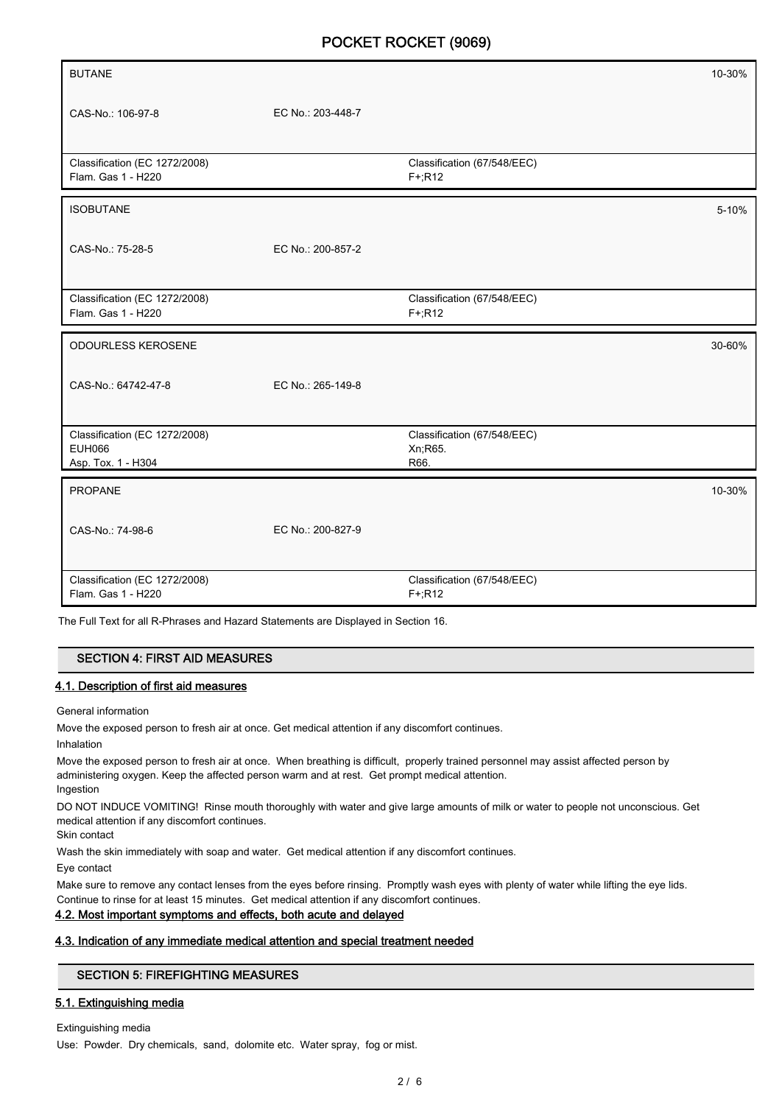| <b>BUTANE</b>                                  |                   |                             | 10-30% |
|------------------------------------------------|-------------------|-----------------------------|--------|
|                                                |                   |                             |        |
| CAS-No.: 106-97-8                              | EC No.: 203-448-7 |                             |        |
|                                                |                   |                             |        |
| Classification (EC 1272/2008)                  |                   | Classification (67/548/EEC) |        |
| Flam. Gas 1 - H220                             |                   | $F + R12$                   |        |
| <b>ISOBUTANE</b>                               |                   |                             | 5-10%  |
|                                                |                   |                             |        |
| CAS-No.: 75-28-5                               | EC No.: 200-857-2 |                             |        |
|                                                |                   |                             |        |
| Classification (EC 1272/2008)                  |                   | Classification (67/548/EEC) |        |
| Flam. Gas 1 - H220                             |                   | $F+;R12$                    |        |
| <b>ODOURLESS KEROSENE</b>                      |                   |                             | 30-60% |
|                                                |                   |                             |        |
| CAS-No.: 64742-47-8                            | EC No.: 265-149-8 |                             |        |
|                                                |                   |                             |        |
| Classification (EC 1272/2008)<br><b>EUH066</b> |                   | Classification (67/548/EEC) |        |
| Asp. Tox. 1 - H304                             |                   | Xn;R65.<br>R66.             |        |
| PROPANE                                        |                   |                             | 10-30% |
|                                                |                   |                             |        |
| CAS-No.: 74-98-6                               | EC No.: 200-827-9 |                             |        |
|                                                |                   |                             |        |
| Classification (EC 1272/2008)                  |                   | Classification (67/548/EEC) |        |
| Flam. Gas 1 - H220                             |                   | $F+$ R <sub>12</sub>        |        |

The Full Text for all R-Phrases and Hazard Statements are Displayed in Section 16.

## SECTION 4: FIRST AID MEASURES

#### 4.1. Description of first aid measures

General information

Move the exposed person to fresh air at once. Get medical attention if any discomfort continues.

Inhalation

Move the exposed person to fresh air at once. When breathing is difficult, properly trained personnel may assist affected person by administering oxygen. Keep the affected person warm and at rest. Get prompt medical attention. Ingestion

DO NOT INDUCE VOMITING! Rinse mouth thoroughly with water and give large amounts of milk or water to people not unconscious. Get medical attention if any discomfort continues.

Skin contact

Wash the skin immediately with soap and water. Get medical attention if any discomfort continues.

Eye contact

Make sure to remove any contact lenses from the eyes before rinsing. Promptly wash eyes with plenty of water while lifting the eye lids. Continue to rinse for at least 15 minutes. Get medical attention if any discomfort continues.

## 4.2. Most important symptoms and effects, both acute and delayed

## 4.3. Indication of any immediate medical attention and special treatment needed

## SECTION 5: FIREFIGHTING MEASURES

## 5.1. Extinguishing media

Extinguishing media Use: Powder. Dry chemicals, sand, dolomite etc. Water spray, fog or mist.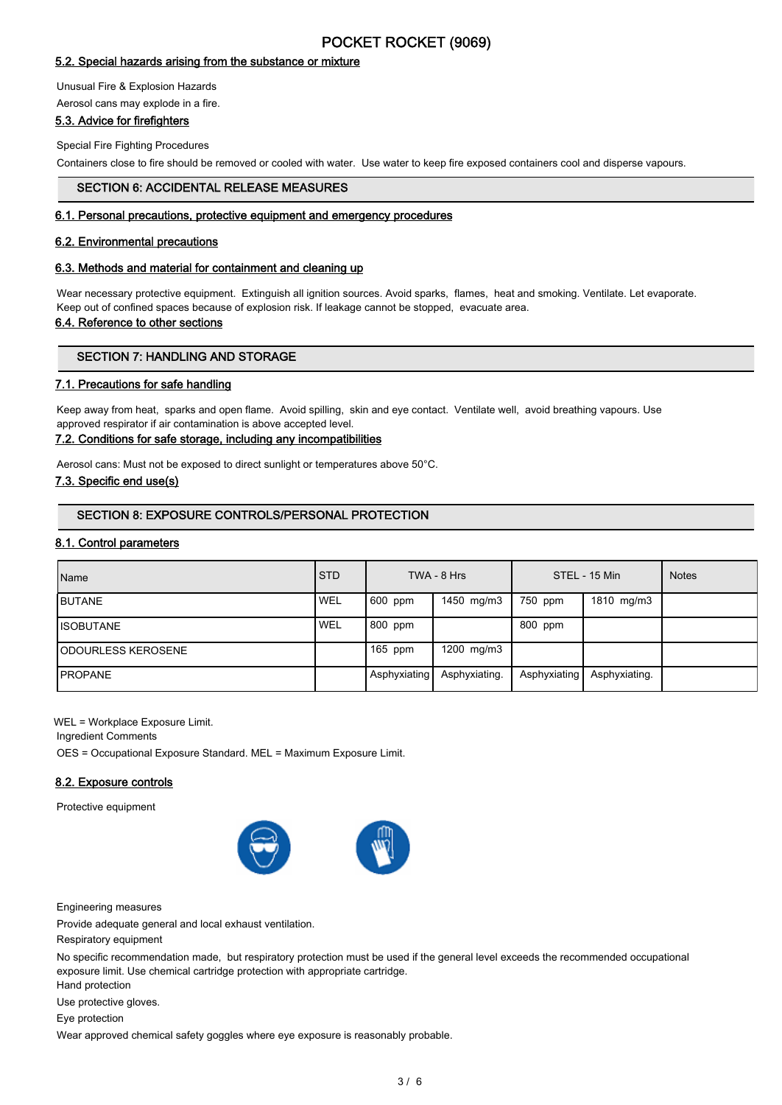## 5.2. Special hazards arising from the substance or mixture

Unusual Fire & Explosion Hazards Aerosol cans may explode in a fire.

# 5.3. Advice for firefighters

Special Fire Fighting Procedures

Containers close to fire should be removed or cooled with water. Use water to keep fire exposed containers cool and disperse vapours.

## SECTION 6: ACCIDENTAL RELEASE MEASURES

#### 6.1. Personal precautions, protective equipment and emergency procedures

#### 6.2. Environmental precautions

#### 6.3. Methods and material for containment and cleaning up

Wear necessary protective equipment. Extinguish all ignition sources. Avoid sparks, flames, heat and smoking. Ventilate. Let evaporate. Keep out of confined spaces because of explosion risk. If leakage cannot be stopped, evacuate area.

#### 6.4. Reference to other sections

#### SECTION 7: HANDLING AND STORAGE

## 7.1. Precautions for safe handling

Keep away from heat, sparks and open flame. Avoid spilling, skin and eye contact. Ventilate well, avoid breathing vapours. Use approved respirator if air contamination is above accepted level.

#### 7.2. Conditions for safe storage, including any incompatibilities

Aerosol cans: Must not be exposed to direct sunlight or temperatures above 50°C.

#### 7.3. Specific end use(s)

## SECTION 8: EXPOSURE CONTROLS/PERSONAL PROTECTION

#### 8.1. Control parameters

| Name                | <b>STD</b> |              | TWA - 8 Hrs   |              | STEL - 15 Min | <b>Notes</b> |
|---------------------|------------|--------------|---------------|--------------|---------------|--------------|
| <b>IBUTANE</b>      | <b>WEL</b> | 600 ppm      | 1450 mg/m3    | 750 ppm      | 1810 mg/m3    |              |
| IISOBUTANE          | 'WEL       | 800 ppm      |               | 800 ppm      |               |              |
| IODOURLESS KEROSENE |            | $165$ ppm    | 1200 mg/m3    |              |               |              |
| <b>IPROPANE</b>     |            | Asphyxiating | Asphyxiating. | Asphyxiating | Asphyxiating. |              |

WEL = Workplace Exposure Limit.

Ingredient Comments

OES = Occupational Exposure Standard. MEL = Maximum Exposure Limit.

## 8.2. Exposure controls

Protective equipment





Engineering measures

Provide adequate general and local exhaust ventilation.

Respiratory equipment

No specific recommendation made, but respiratory protection must be used if the general level exceeds the recommended occupational exposure limit. Use chemical cartridge protection with appropriate cartridge.

Hand protection Use protective gloves.

Eye protection

Wear approved chemical safety goggles where eye exposure is reasonably probable.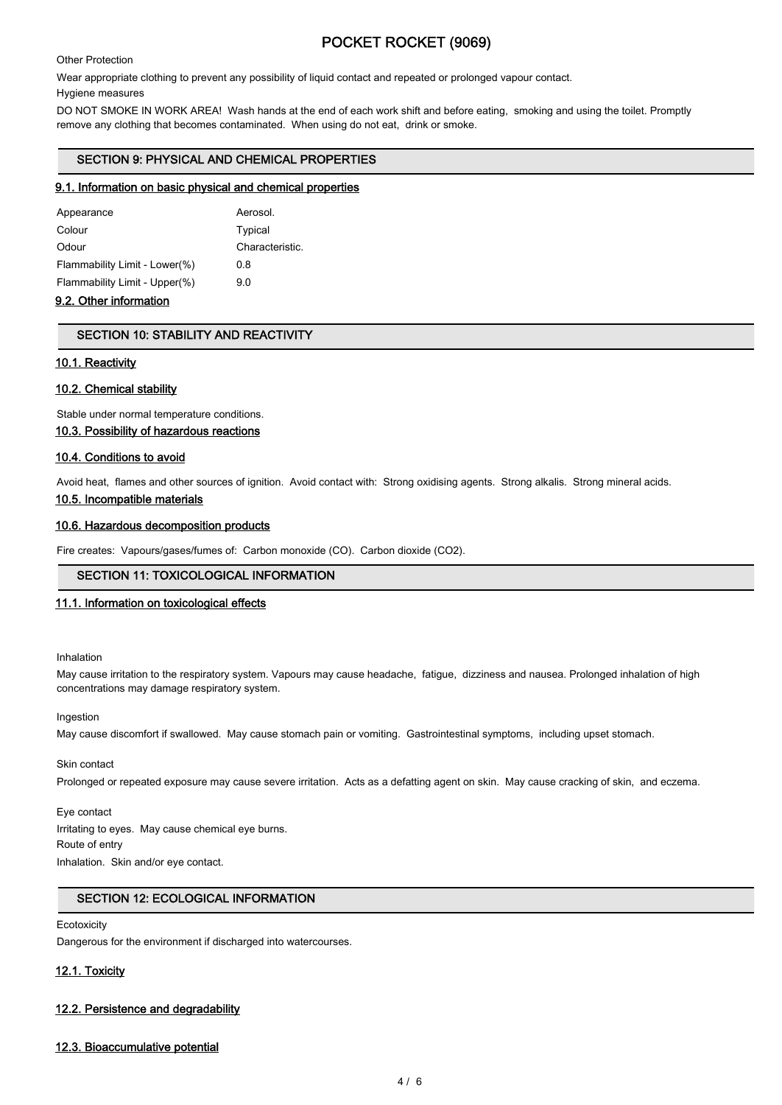Other Protection

Wear appropriate clothing to prevent any possibility of liquid contact and repeated or prolonged vapour contact.

Hygiene measures

DO NOT SMOKE IN WORK AREA! Wash hands at the end of each work shift and before eating, smoking and using the toilet. Promptly remove any clothing that becomes contaminated. When using do not eat, drink or smoke.

## SECTION 9: PHYSICAL AND CHEMICAL PROPERTIES

#### 9.1. Information on basic physical and chemical properties

| Appearance                    | Aerosol.        |
|-------------------------------|-----------------|
| Colour                        | Typical         |
| Odour                         | Characteristic. |
| Flammability Limit - Lower(%) | 0.8             |
| Flammability Limit - Upper(%) | 90              |
|                               |                 |

## 9.2. Other information

## SECTION 10: STABILITY AND REACTIVITY

#### 10.1. Reactivity

## 10.2. Chemical stability

Stable under normal temperature conditions.

10.3. Possibility of hazardous reactions

## 10.4. Conditions to avoid

Avoid heat, flames and other sources of ignition. Avoid contact with: Strong oxidising agents. Strong alkalis. Strong mineral acids. 10.5. Incompatible materials

## 10.6. Hazardous decomposition products

Fire creates: Vapours/gases/fumes of: Carbon monoxide (CO). Carbon dioxide (CO2).

## SECTION 11: TOXICOLOGICAL INFORMATION

#### 11.1. Information on toxicological effects

Inhalation

May cause irritation to the respiratory system. Vapours may cause headache, fatigue, dizziness and nausea. Prolonged inhalation of high concentrations may damage respiratory system.

Ingestion

May cause discomfort if swallowed. May cause stomach pain or vomiting. Gastrointestinal symptoms, including upset stomach.

## Skin contact

Prolonged or repeated exposure may cause severe irritation. Acts as a defatting agent on skin. May cause cracking of skin, and eczema.

## Eye contact Irritating to eyes. May cause chemical eye burns. Route of entry

Inhalation. Skin and/or eye contact.

## SECTION 12: ECOLOGICAL INFORMATION

#### **Ecotoxicity**

Dangerous for the environment if discharged into watercourses.

## 12.1. Toxicity

## 12.2. Persistence and degradability

## 12.3. Bioaccumulative potential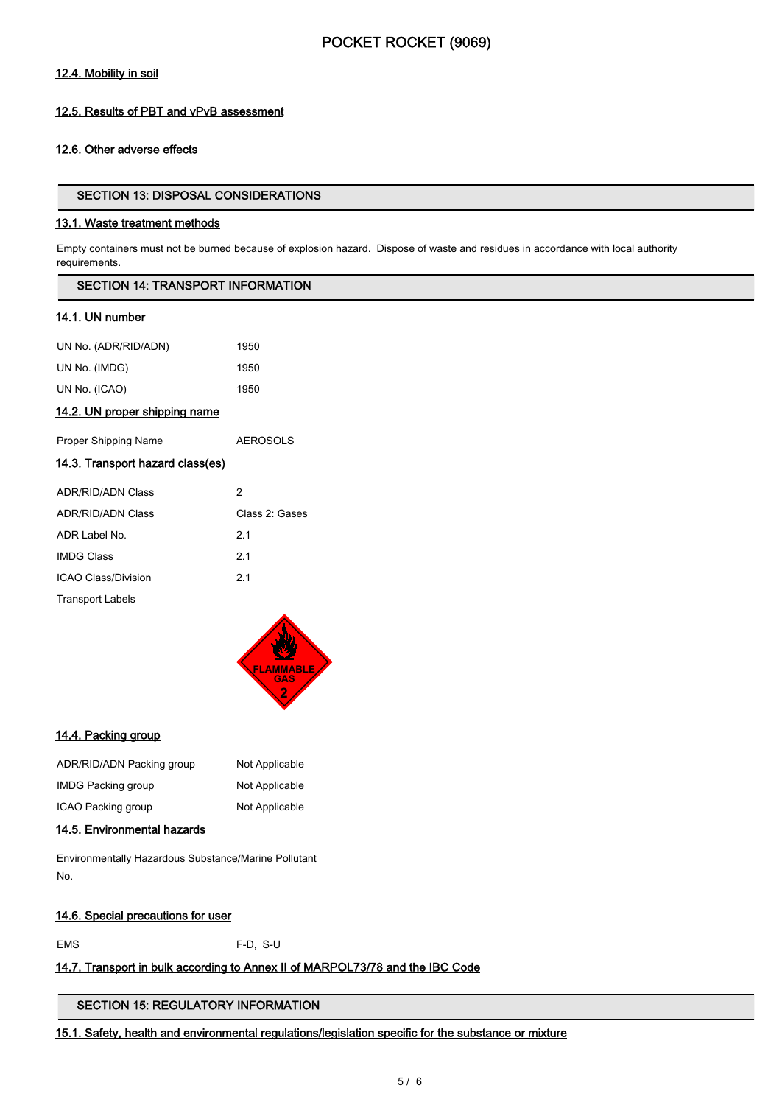## 12.4. Mobility in soil

## 12.5. Results of PBT and vPvB assessment

## 12.6. Other adverse effects

#### SECTION 13: DISPOSAL CONSIDERATIONS

#### 13.1. Waste treatment methods

Empty containers must not be burned because of explosion hazard. Dispose of waste and residues in accordance with local authority requirements.

|  | SECTION 14: TRANSPORT INFORMATION |  |
|--|-----------------------------------|--|
|--|-----------------------------------|--|

## 14.1. UN number

| UN No. (ADR/RID/ADN) | 1950 |
|----------------------|------|
| UN No. (IMDG)        | 1950 |
| UN No. (ICAO)        | 1950 |

## 14.2. UN proper shipping name

| Proper Shipping Name                    | <b>AEROSOLS</b> |
|-----------------------------------------|-----------------|
| <u>14.3. Transport hazard class(es)</u> |                 |
| ADR/RID/ADN Class                       | 2               |
| <b>ADR/RID/ADN Class</b>                | Class 2: Gases  |
| ADR Label No                            | 21              |
| <b>IMDG Class</b>                       | 21              |
| ICAO Class/Division                     | 21              |
| <b>Transport Labels</b>                 |                 |



## 14.4. Packing group

| ADR/RID/ADN Packing group | Not Applicable |
|---------------------------|----------------|
| <b>IMDG Packing group</b> | Not Applicable |
| ICAO Packing group        | Not Applicable |

# 14.5. Environmental hazards

Environmentally Hazardous Substance/Marine Pollutant No.

#### 14.6. Special precautions for user

EMS F-D, S-U

## 14.7. Transport in bulk according to Annex II of MARPOL73/78 and the IBC Code

## SECTION 15: REGULATORY INFORMATION

## 15.1. Safety, health and environmental regulations/legislation specific for the substance or mixture